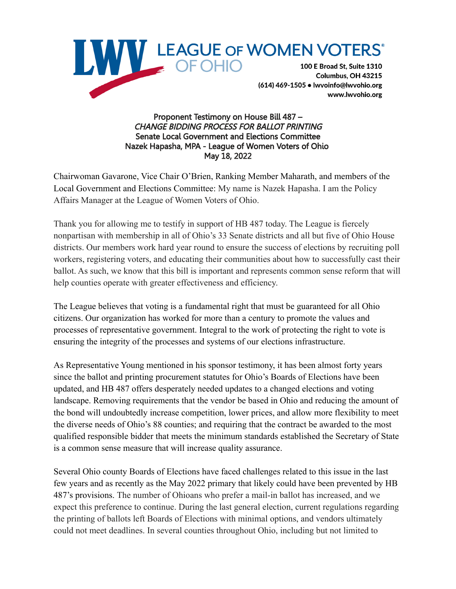

Proponent Testimony on House Bill 487 – CHANGE BIDDING PROCESS FOR BALLOT PRINTING Senate Local Government and Elections Committee Nazek Hapasha, MPA - League of Women Voters of Ohio May 18, 2022

Chairwoman Gavarone, Vice Chair O'Brien, Ranking Member Maharath, and members of the Local Government and Elections Committee: My name is Nazek Hapasha. I am the Policy Affairs Manager at the League of Women Voters of Ohio.

Thank you for allowing me to testify in support of HB 487 today. The League is fiercely nonpartisan with membership in all of Ohio's 33 Senate districts and all but five of Ohio House districts. Our members work hard year round to ensure the success of elections by recruiting poll workers, registering voters, and educating their communities about how to successfully cast their ballot. As such, we know that this bill is important and represents common sense reform that will help counties operate with greater effectiveness and efficiency.

The League believes that voting is a fundamental right that must be guaranteed for all Ohio citizens. Our organization has worked for more than a century to promote the values and processes of representative government. Integral to the work of protecting the right to vote is ensuring the integrity of the processes and systems of our elections infrastructure.

As Representative Young mentioned in his sponsor testimony, it has been almost forty years since the ballot and printing procurement statutes for Ohio's Boards of Elections have been updated, and HB 487 offers desperately needed updates to a changed elections and voting landscape. Removing requirements that the vendor be based in Ohio and reducing the amount of the bond will undoubtedly increase competition, lower prices, and allow more flexibility to meet the diverse needs of Ohio's 88 counties; and requiring that the contract be awarded to the most qualified responsible bidder that meets the minimum standards established the Secretary of State is a common sense measure that will increase quality assurance.

Several Ohio county Boards of Elections have faced challenges related to this issue in the last few years and as recently as the May 2022 primary that likely could have been prevented by HB 487's provisions. The number of Ohioans who prefer a mail-in ballot has increased, and we expect this preference to continue. During the last general election, current regulations regarding the printing of ballots left Boards of Elections with minimal options, and vendors ultimately could not meet deadlines. In several counties throughout Ohio, including but not limited to